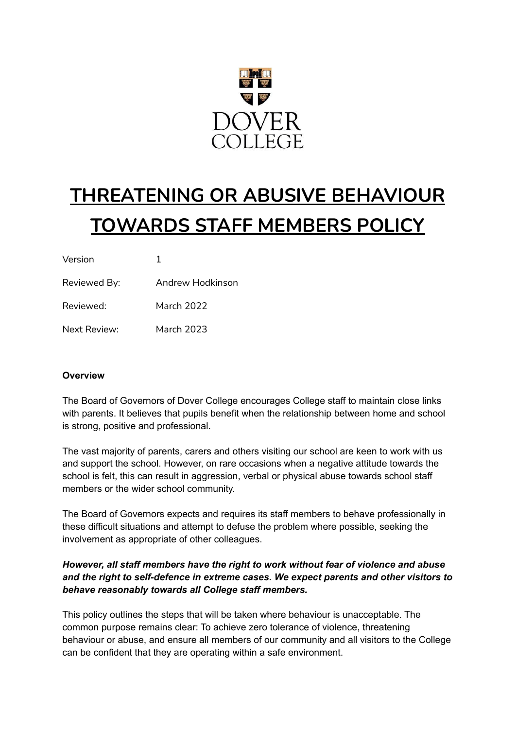

# **THREATENING OR ABUSIVE BEHAVIOUR TOWARDS STAFF MEMBERS POLICY**

| Version      |                  |
|--------------|------------------|
| Reviewed By: | Andrew Hodkinson |
| Reviewed:    | March 2022       |
| Next Review: | March 2023       |

#### **Overview**

The Board of Governors of Dover College encourages College staff to maintain close links with parents. It believes that pupils benefit when the relationship between home and school is strong, positive and professional.

The vast majority of parents, carers and others visiting our school are keen to work with us and support the school. However, on rare occasions when a negative attitude towards the school is felt, this can result in aggression, verbal or physical abuse towards school staff members or the wider school community.

The Board of Governors expects and requires its staff members to behave professionally in these difficult situations and attempt to defuse the problem where possible, seeking the involvement as appropriate of other colleagues.

## *However, all staff members have the right to work without fear of violence and abuse and the right to self-defence in extreme cases. We expect parents and other visitors to behave reasonably towards all College staff members.*

This policy outlines the steps that will be taken where behaviour is unacceptable. The common purpose remains clear: To achieve zero tolerance of violence, threatening behaviour or abuse, and ensure all members of our community and all visitors to the College can be confident that they are operating within a safe environment.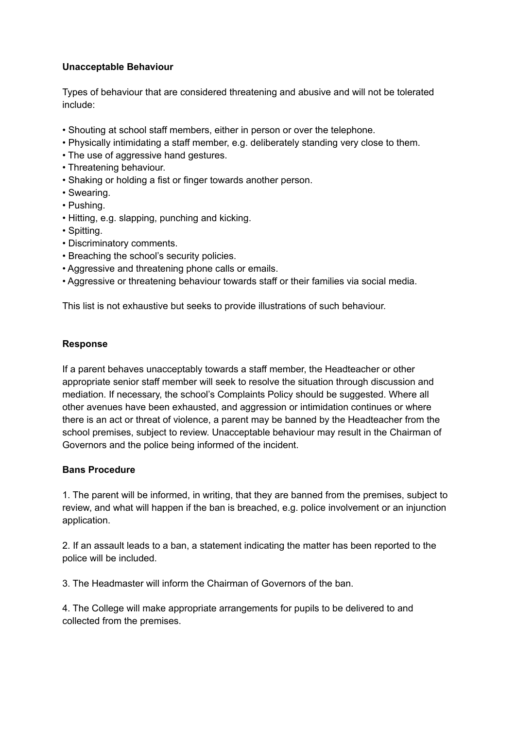## **Unacceptable Behaviour**

Types of behaviour that are considered threatening and abusive and will not be tolerated include:

- Shouting at school staff members, either in person or over the telephone.
- Physically intimidating a staff member, e.g. deliberately standing very close to them.
- The use of aggressive hand gestures.
- Threatening behaviour.
- Shaking or holding a fist or finger towards another person.
- Swearing.
- Pushing.
- Hitting, e.g. slapping, punching and kicking.
- Spitting.
- Discriminatory comments.
- Breaching the school's security policies.
- Aggressive and threatening phone calls or emails.
- Aggressive or threatening behaviour towards staff or their families via social media.

This list is not exhaustive but seeks to provide illustrations of such behaviour.

#### **Response**

If a parent behaves unacceptably towards a staff member, the Headteacher or other appropriate senior staff member will seek to resolve the situation through discussion and mediation. If necessary, the school's Complaints Policy should be suggested. Where all other avenues have been exhausted, and aggression or intimidation continues or where there is an act or threat of violence, a parent may be banned by the Headteacher from the school premises, subject to review. Unacceptable behaviour may result in the Chairman of Governors and the police being informed of the incident.

#### **Bans Procedure**

1. The parent will be informed, in writing, that they are banned from the premises, subject to review, and what will happen if the ban is breached, e.g. police involvement or an injunction application.

2. If an assault leads to a ban, a statement indicating the matter has been reported to the police will be included.

3. The Headmaster will inform the Chairman of Governors of the ban.

4. The College will make appropriate arrangements for pupils to be delivered to and collected from the premises.